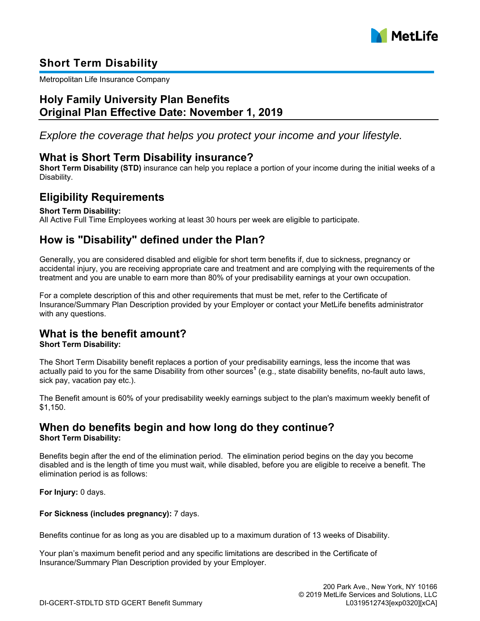

## **Short Term Disability**

Metropolitan Life Insurance Company

### **Holy Family University Plan Benefits Original Plan Effective Date: November 1, 2019**

*Explore the coverage that helps you protect your income and your lifestyle.*

### **What is Short Term Disability insurance?**

**Short Term Disability (STD)** insurance can help you replace a portion of your income during the initial weeks of a Disability.

### **Eligibility Requirements**

#### **Short Term Disability:**

All Active Full Time Employees working at least 30 hours per week are eligible to participate.

### **How is "Disability" defined under the Plan?**

Generally, you are considered disabled and eligible for short term benefits if, due to sickness, pregnancy or accidental injury, you are receiving appropriate care and treatment and are complying with the requirements of the treatment and you are unable to earn more than 80% of your predisability earnings at your own occupation.

For a complete description of this and other requirements that must be met, refer to the Certificate of Insurance/Summary Plan Description provided by your Employer or contact your MetLife benefits administrator with any questions.

## **What is the benefit amount?**

#### **Short Term Disability:**

The Short Term Disability benefit replaces a portion of your predisability earnings, less the income that was actually paid to you for the same Disability from other sources**<sup>1</sup>** (e.g., state disability benefits, no-fault auto laws, sick pay, vacation pay etc.).

The Benefit amount is 60% of your predisability weekly earnings subject to the plan's maximum weekly benefit of \$1,150.

### **When do benefits begin and how long do they continue? Short Term Disability:**

Benefits begin after the end of the elimination period. The elimination period begins on the day you become disabled and is the length of time you must wait, while disabled, before you are eligible to receive a benefit. The elimination period is as follows:

**For Injury:** 0 days.

**For Sickness (includes pregnancy):** 7 days.

Benefits continue for as long as you are disabled up to a maximum duration of 13 weeks of Disability.

Your plan's maximum benefit period and any specific limitations are described in the Certificate of Insurance/Summary Plan Description provided by your Employer.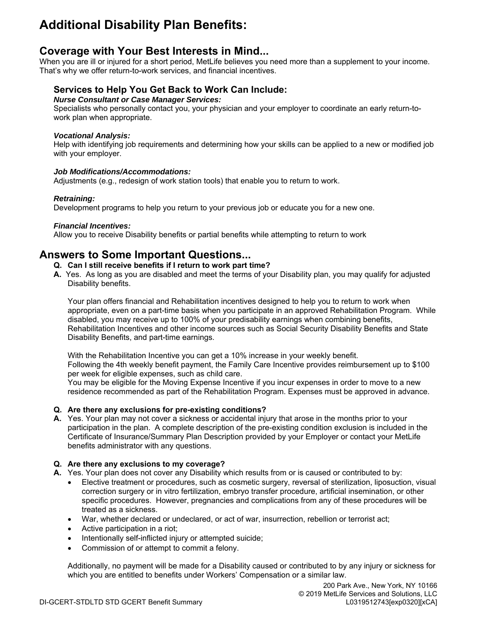# **Additional Disability Plan Benefits:**

### **Coverage with Your Best Interests in Mind...**

When you are ill or injured for a short period, MetLife believes you need more than a supplement to your income. That's why we offer return-to-work services, and financial incentives.

### **Services to Help You Get Back to Work Can Include:**

#### *Nurse Consultant or Case Manager Services:*

Specialists who personally contact you, your physician and your employer to coordinate an early return-towork plan when appropriate.

#### *Vocational Analysis:*

Help with identifying job requirements and determining how your skills can be applied to a new or modified job with your employer.

#### *Job Modifications/Accommodations:*

Adjustments (e.g., redesign of work station tools) that enable you to return to work.

### *Retraining:*

Development programs to help you return to your previous job or educate you for a new one.

#### *Financial Incentives:*

Allow you to receive Disability benefits or partial benefits while attempting to return to work

## **Answers to Some Important Questions...**

- **Q. Can I still receive benefits if I return to work part time?**
- **A.** Yes. As long as you are disabled and meet the terms of your Disability plan, you may qualify for adjusted Disability benefits.

Your plan offers financial and Rehabilitation incentives designed to help you to return to work when appropriate, even on a part-time basis when you participate in an approved Rehabilitation Program. While disabled, you may receive up to 100% of your predisability earnings when combining benefits, Rehabilitation Incentives and other income sources such as Social Security Disability Benefits and State Disability Benefits, and part-time earnings.

With the Rehabilitation Incentive you can get a 10% increase in your weekly benefit. Following the 4th weekly benefit payment, the Family Care Incentive provides reimbursement up to \$100

per week for eligible expenses, such as child care. You may be eligible for the Moving Expense Incentive if you incur expenses in order to move to a new residence recommended as part of the Rehabilitation Program. Expenses must be approved in advance.

### **Q. Are there any exclusions for pre-existing conditions?**

**A.** Yes. Your plan may not cover a sickness or accidental injury that arose in the months prior to your participation in the plan. A complete description of the pre-existing condition exclusion is included in the Certificate of Insurance/Summary Plan Description provided by your Employer or contact your MetLife benefits administrator with any questions.

### **Q. Are there any exclusions to my coverage?**

- **A.** Yes. Your plan does not cover any Disability which results from or is caused or contributed to by:
	- Elective treatment or procedures, such as cosmetic surgery, reversal of sterilization, liposuction, visual correction surgery or in vitro fertilization, embryo transfer procedure, artificial insemination, or other specific procedures. However, pregnancies and complications from any of these procedures will be treated as a sickness.
	- War, whether declared or undeclared, or act of war, insurrection, rebellion or terrorist act;
	- Active participation in a riot;
	- Intentionally self-inflicted injury or attempted suicide;
	- Commission of or attempt to commit a felony.

Additionally, no payment will be made for a Disability caused or contributed to by any injury or sickness for which you are entitled to benefits under Workers' Compensation or a similar law.